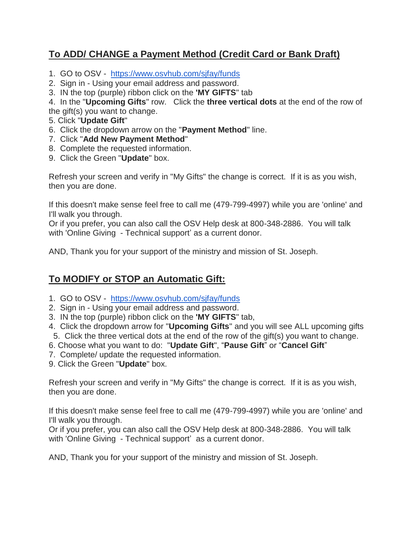## **To ADD/ CHANGE a Payment Method (Credit Card or Bank Draft)**

- 1. GO to OSV <https://www.osvhub.com/sjfay/funds>
- 2. Sign in Using your email address and password.
- 3. IN the top (purple) ribbon click on the **'MY GIFTS**" tab

4. In the "**Upcoming Gifts**" row. Click the **three vertical dots** at the end of the row of the gift(s) you want to change.

- 5. Click "**Update Gift**"
- 6. Click the dropdown arrow on the "**Payment Method**" line.
- 7. Click "**Add New Payment Method**"
- 8. Complete the requested information.
- 9. Click the Green "**Update**" box.

Refresh your screen and verify in "My Gifts" the change is correct. If it is as you wish, then you are done.

If this doesn't make sense feel free to call me (479-799-4997) while you are 'online' and I'll walk you through.

Or if you prefer, you can also call the OSV Help desk at 800-348-2886. You will talk with 'Online Giving - Technical support' as a current donor.

AND, Thank you for your support of the ministry and mission of St. Joseph.

## **To MODIFY or STOP an Automatic Gift:**

- 1. GO to OSV <https://www.osvhub.com/sjfay/funds>
- 2. Sign in Using your email address and password.
- 3. IN the top (purple) ribbon click on the **'MY GIFTS**" tab,
- 4. Click the dropdown arrow for "**Upcoming Gifts**" and you will see ALL upcoming gifts 5. Click the three vertical dots at the end of the row of the gift(s) you want to change.
- 6. Choose what you want to do: "**Update Gift**", "**Pause Gift**" or "**Cancel Gift**"
- 7. Complete/ update the requested information.
- 9. Click the Green "**Update**" box.

Refresh your screen and verify in "My Gifts" the change is correct. If it is as you wish, then you are done.

If this doesn't make sense feel free to call me (479-799-4997) while you are 'online' and I'll walk you through.

Or if you prefer, you can also call the OSV Help desk at 800-348-2886. You will talk with 'Online Giving - Technical support' as a current donor.

AND, Thank you for your support of the ministry and mission of St. Joseph.